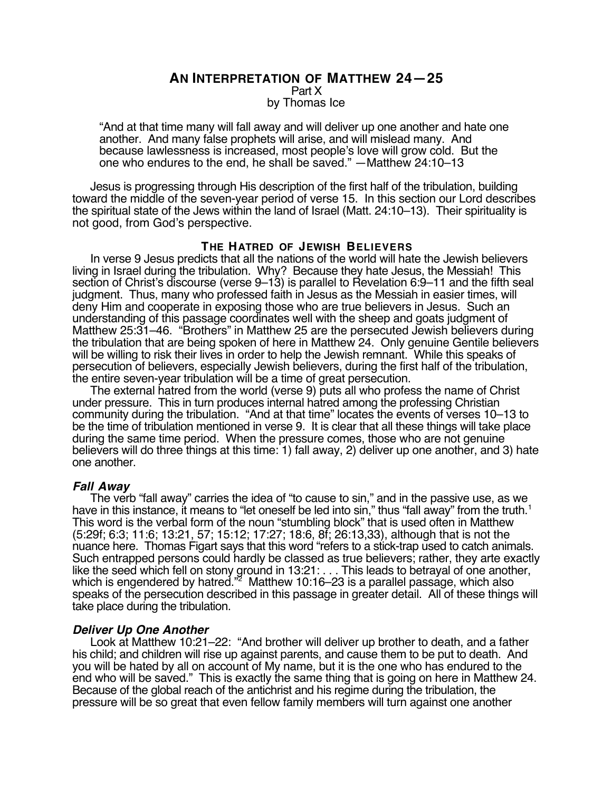## **AN INTERPRETATION OF MATTHEW 24—25** Part X by Thomas Ice

"And at that time many will fall away and will deliver up one another and hate one another. And many false prophets will arise, and will mislead many. And because lawlessness is increased, most people's love will grow cold. But the one who endures to the end, he shall be saved." —Matthew 24:10–13

Jesus is progressing through His description of the first half of the tribulation, building toward the middle of the seven-year period of verse 15. In this section our Lord describes the spiritual state of the Jews within the land of Israel (Matt. 24:10–13). Their spirituality is not good, from God's perspective.

### **THE HATRED OF JEWISH BELIEVERS**

In verse 9 Jesus predicts that all the nations of the world will hate the Jewish believers living in Israel during the tribulation. Why? Because they hate Jesus, the Messiah! This section of Christ's discourse (verse 9–13) is parallel to Revelation 6:9–11 and the fifth seal judgment. Thus, many who professed faith in Jesus as the Messiah in easier times, will deny Him and cooperate in exposing those who are true believers in Jesus. Such an understanding of this passage coordinates well with the sheep and goats judgment of Matthew 25:31–46. "Brothers" in Matthew 25 are the persecuted Jewish believers during the tribulation that are being spoken of here in Matthew 24. Only genuine Gentile believers will be willing to risk their lives in order to help the Jewish remnant. While this speaks of persecution of believers, especially Jewish believers, during the first half of the tribulation, the entire seven-year tribulation will be a time of great persecution.

The external hatred from the world (verse 9) puts all who profess the name of Christ under pressure. This in turn produces internal hatred among the professing Christian community during the tribulation. "And at that time" locates the events of verses 10–13 to be the time of tribulation mentioned in verse 9. It is clear that all these things will take place during the same time period. When the pressure comes, those who are not genuine believers will do three things at this time: 1) fall away, 2) deliver up one another, and 3) hate one another.

## **Fall Away**

The verb "fall away" carries the idea of "to cause to sin," and in the passive use, as we have in this instance, it means to "let oneself be led into sin," thus "fall away" from the truth.<sup>1</sup> This word is the verbal form of the noun "stumbling block" that is used often in Matthew (5:29f; 6:3; 11:6; 13:21, 57; 15:12; 17:27; 18:6, 8f; 26:13,33), although that is not the nuance here. Thomas Figart says that this word "refers to a stick-trap used to catch animals. Such entrapped persons could hardly be classed as true believers; rather, they arte exactly like the seed which fell on stony ground in 13:21: . . . This leads to betrayal of one another, which is engendered by hatred."<sup>2</sup> Matthew 10:16–23 is a parallel passage, which also speaks of the persecution described in this passage in greater detail. All of these things will take place during the tribulation.

## **Deliver Up One Another**

Look at Matthew 10:21–22: "And brother will deliver up brother to death, and a father his child; and children will rise up against parents, and cause them to be put to death. And you will be hated by all on account of My name, but it is the one who has endured to the end who will be saved." This is exactly the same thing that is going on here in Matthew 24. Because of the global reach of the antichrist and his regime during the tribulation, the pressure will be so great that even fellow family members will turn against one another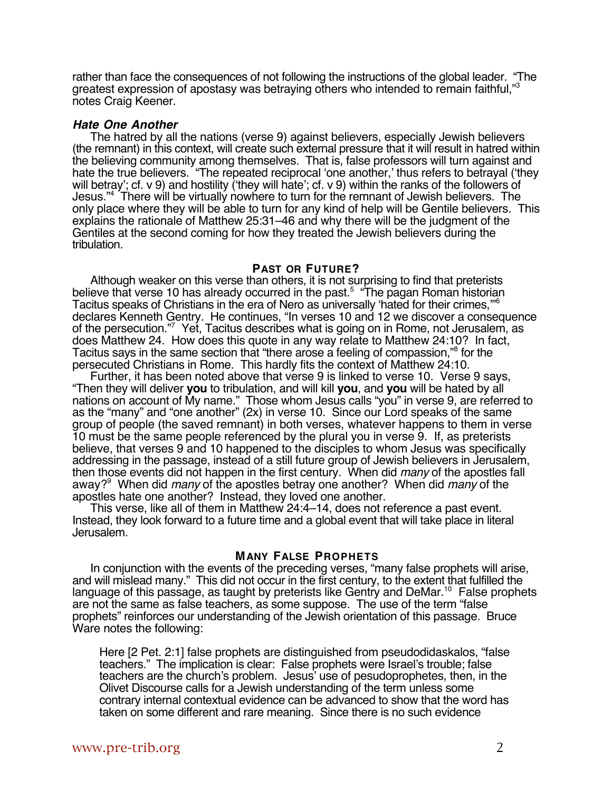rather than face the consequences of not following the instructions of the global leader. "The greatest expression of apostasy was betraying others who intended to remain faithful," notes Craig Keener.

#### **Hate One Another**

The hatred by all the nations (verse 9) against believers, especially Jewish believers (the remnant) in this context, will create such external pressure that it will result in hatred within the believing community among themselves. That is, false professors will turn against and hate the true believers. "The repeated reciprocal 'one another,' thus refers to betrayal ('they will betray'; cf. v 9) and hostility ('they will hate'; cf. v 9) within the ranks of the followers of Jesus."4 There will be virtually nowhere to turn for the remnant of Jewish believers. The only place where they will be able to turn for any kind of help will be Gentile believers. This explains the rationale of Matthew 25:31–46 and why there will be the judgment of the Gentiles at the second coming for how they treated the Jewish believers during the tribulation.

## **PAST OR FUTURE?**

Although weaker on this verse than others, it is not surprising to find that preterists believe that verse 10 has already occurred in the past.<sup>5</sup> "The pagan Roman historian Tacitus speaks of Christians in the era of Nero as universally 'hated for their crimes,'"6 declares Kenneth Gentry. He continues, "In verses 10 and 12 we discover a consequence of the persecution."7 Yet, Tacitus describes what is going on in Rome, not Jerusalem, as does Matthew 24. How does this quote in any way relate to Matthew 24:10? In fact, Tacitus says in the same section that "there arose a feeling of compassion,"8 for the persecuted Christians in Rome. This hardly fits the context of Matthew 24:10.

Further, it has been noted above that verse 9 is linked to verse 10. Verse 9 says, "Then they will deliver **you** to tribulation, and will kill **you**, and **you** will be hated by all nations on account of My name." Those whom Jesus calls "you" in verse 9, are referred to as the "many" and "one another" (2x) in verse 10. Since our Lord speaks of the same group of people (the saved remnant) in both verses, whatever happens to them in verse 10 must be the same people referenced by the plural you in verse 9. If, as preterists believe, that verses 9 and 10 happened to the disciples to whom Jesus was specifically addressing in the passage, instead of a still future group of Jewish believers in Jerusalem, then those events did not happen in the first century. When did many of the apostles fall away?<sup>9</sup> When did *many* of the apostles betray one another? When did *many* of the apostles hate one another? Instead, they loved one another.

This verse, like all of them in Matthew 24:4–14, does not reference a past event. Instead, they look forward to a future time and a global event that will take place in literal Jerusalem.

#### **MANY FALSE PROPHETS**

In conjunction with the events of the preceding verses, "many false prophets will arise, and will mislead many." This did not occur in the first century, to the extent that fulfilled the language of this passage, as taught by preterists like Gentry and DeMar.<sup>10</sup> False prophets are not the same as false teachers, as some suppose. The use of the term "false prophets" reinforces our understanding of the Jewish orientation of this passage. Bruce Ware notes the following:

Here [2 Pet. 2:1] false prophets are distinguished from pseudodidaskalos, "false teachers." The implication is clear: False prophets were Israel's trouble; false teachers are the church's problem. Jesus' use of pesudoprophetes, then, in the Olivet Discourse calls for a Jewish understanding of the term unless some contrary internal contextual evidence can be advanced to show that the word has taken on some different and rare meaning. Since there is no such evidence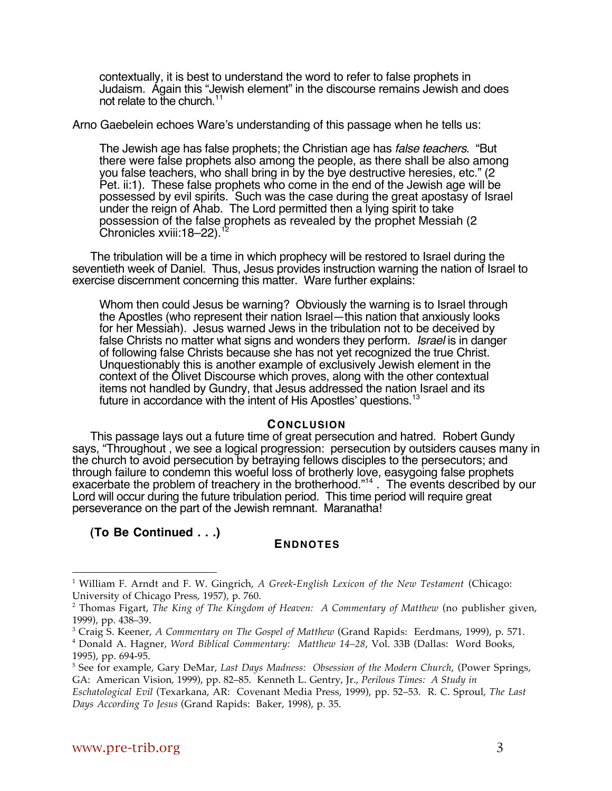contextually, it is best to understand the word to refer to false prophets in Judaism. Again this "Jewish element" in the discourse remains Jewish and does not relate to the church.<sup>11</sup>

Arno Gaebelein echoes Ware's understanding of this passage when he tells us:

The Jewish age has false prophets; the Christian age has false teachers. "But there were false prophets also among the people, as there shall be also among you false teachers, who shall bring in by the bye destructive heresies, etc." (2 Pet. ii:1). These false prophets who come in the end of the Jewish age will be possessed by evil spirits. Such was the case during the great apostasy of Israel under the reign of Ahab. The Lord permitted then a lying spirit to take possession of the false prophets as revealed by the prophet Messiah (2 Chronicles xviii:18–22).<sup>12</sup>

The tribulation will be a time in which prophecy will be restored to Israel during the seventieth week of Daniel. Thus, Jesus provides instruction warning the nation of Israel to exercise discernment concerning this matter. Ware further explains:

Whom then could Jesus be warning? Obviously the warning is to Israel through the Apostles (who represent their nation Israel—this nation that anxiously looks for her Messiah). Jesus warned Jews in the tribulation not to be deceived by false Christs no matter what signs and wonders they perform. Israel is in danger of following false Christs because she has not yet recognized the true Christ. Unquestionably this is another example of exclusively Jewish element in the context of the Olivet Discourse which proves, along with the other contextual items not handled by Gundry, that Jesus addressed the nation Israel and its future in accordance with the intent of His Apostles' questions.<sup>13</sup>

## **CONCLUSION**

This passage lays out a future time of great persecution and hatred. Robert Gundy says, "Throughout , we see a logical progression: persecution by outsiders causes many in the church to avoid persecution by betraying fellows disciples to the persecutors; and through failure to condemn this woeful loss of brotherly love, easygoing false prophets exacerbate the problem of treachery in the brotherhood."<sup>14</sup>. The events described by our Lord will occur during the future tribulation period. This time period will require great perseverance on the part of the Jewish remnant. Maranatha!

**(To Be Continued . . .)**

# **ENDNOTES**

 $\overline{a}$ 

<sup>1</sup> William F. Arndt and F. W. Gingrich, *A Greek-English Lexicon of the New Testament* (Chicago: University of Chicago Press, 1957), p. 760.

<sup>2</sup> Thomas Figart, *The King of The Kingdom of Heaven: A Commentary of Matthew* (no publisher given, 1999), pp. 438–39.

<sup>3</sup> Craig S. Keener, *A Commentary on The Gospel of Matthew* (Grand Rapids: Eerdmans, 1999), p. 571.

<sup>4</sup> Donald A. Hagner, *Word Biblical Commentary: Matthew 14–28*, Vol. 33B (Dallas: Word Books, 1995), pp. 694-95.

<sup>5</sup> See for example, Gary DeMar, *Last Days Madness: Obsession of the Modern Church*, (Power Springs, GA: American Vision, 1999), pp. 82–85. Kenneth L. Gentry, Jr., *Perilous Times: A Study in*

*Eschatological Evil* (Texarkana, AR: Covenant Media Press, 1999), pp. 52–53. R. C. Sproul, *The Last Days According To Jesus* (Grand Rapids: Baker, 1998), p. 35.